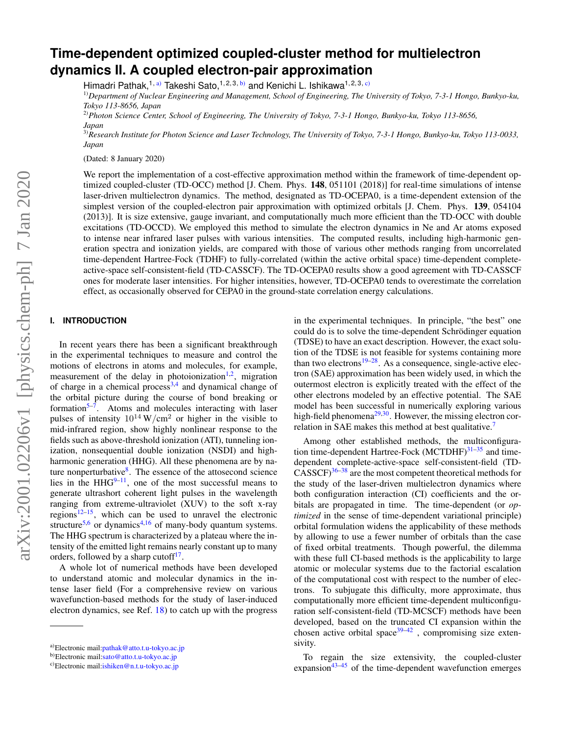# **Time-dependent optimized coupled-cluster method for multielectron dynamics II. A coupled electron-pair approximation**

Himadri Pathak,<sup>1, [a\)](#page-0-0)</sup> Takeshi Sato,<sup>1, 2, 3, b</sup>) and Kenichi L. Ishikawa<sup>1, 2, 3, [c\)](#page-0-2)</sup>

1)*Department of Nuclear Engineering and Management, School of Engineering, The University of Tokyo, 7-3-1 Hongo, Bunkyo-ku, Tokyo 113-8656, Japan*

2)*Photon Science Center, School of Engineering, The University of Tokyo, 7-3-1 Hongo, Bunkyo-ku, Tokyo 113-8656, Japan*

3)*Research Institute for Photon Science and Laser Technology, The University of Tokyo, 7-3-1 Hongo, Bunkyo-ku, Tokyo 113-0033, Japan*

(Dated: 8 January 2020)

We report the implementation of a cost-effective approximation method within the framework of time-dependent optimized coupled-cluster (TD-OCC) method [J. Chem. Phys. 148, 051101 (2018)] for real-time simulations of intense laser-driven multielectron dynamics. The method, designated as TD-OCEPA0, is a time-dependent extension of the simplest version of the coupled-electron pair approximation with optimized orbitals [J. Chem. Phys. 139, 054104 (2013)]. It is size extensive, gauge invariant, and computationally much more efficient than the TD-OCC with double excitations (TD-OCCD). We employed this method to simulate the electron dynamics in Ne and Ar atoms exposed to intense near infrared laser pulses with various intensities. The computed results, including high-harmonic generation spectra and ionization yields, are compared with those of various other methods ranging from uncorrelated time-dependent Hartree-Fock (TDHF) to fully-correlated (within the active orbital space) time-dependent completeactive-space self-consistent-field (TD-CASSCF). The TD-OCEPA0 results show a good agreement with TD-CASSCF ones for moderate laser intensities. For higher intensities, however, TD-OCEPA0 tends to overestimate the correlation effect, as occasionally observed for CEPA0 in the ground-state correlation energy calculations.

## **I. INTRODUCTION**

In recent years there has been a significant breakthrough in the experimental techniques to measure and control the motions of electrons in atoms and molecules, for example, measurement of the delay in photoionization<sup>[1,](#page-8-0)[2](#page-8-1)</sup>, migration of charge in a chemical process<sup>[3](#page-8-2)[,4](#page-8-3)</sup> and dynamical change of the orbital picture during the course of bond breaking or formation<sup>[5](#page-8-4)[–7](#page-8-5)</sup>. Atoms and molecules interacting with laser pulses of intensity  $10^{14}$  W/cm<sup>2</sup> or higher in the visible to mid-infrared region, show highly nonlinear response to the fields such as above-threshold ionization (ATI), tunneling ionization, nonsequential double ionization (NSDI) and highharmonic generation (HHG). All these phenomena are by na-ture nonperturbative<sup>[8](#page-8-6)</sup>. The essence of the attosecond science lies in the  $HHG^{9-11}$  $HHG^{9-11}$  $HHG^{9-11}$ , one of the most successful means to generate ultrashort coherent light pulses in the wavelength ranging from extreme-ultraviolet (XUV) to the soft x-ray regions $12-15$  $12-15$ , which can be used to unravel the electronic structure<sup>[5](#page-8-4)[,6](#page-8-11)</sup> or dynamics<sup>[4,](#page-8-3)[16](#page-8-12)</sup> of many-body quantum systems. The HHG spectrum is characterized by a plateau where the intensity of the emitted light remains nearly constant up to many orders, followed by a sharp cutoff $17$ .

A whole lot of numerical methods have been developed to understand atomic and molecular dynamics in the intense laser field (For a comprehensive review on various wavefunction-based methods for the study of laser-induced electron dynamics, see Ref. [18\)](#page-8-14) to catch up with the progress

in the experimental techniques. In principle, "the best" one could do is to solve the time-dependent Schrödinger equation (TDSE) to have an exact description. However, the exact solution of the TDSE is not feasible for systems containing more than two electrons $19-28$  $19-28$ . As a consequence, single-active electron (SAE) approximation has been widely used, in which the outermost electron is explicitly treated with the effect of the other electrons modeled by an effective potential. The SAE model has been successful in numerically exploring various high-field phenomena<sup>[29,](#page-8-17)[30](#page-8-18)</sup>. However, the missing electron correlation in SAE makes this method at best qualitative.[7](#page-8-5)

Among other established methods, the multiconfiguration time-dependent Hartree-Fock  $(MCTDHF)^{31-35}$  $(MCTDHF)^{31-35}$  $(MCTDHF)^{31-35}$  and timedependent complete-active-space self-consistent-field (TD- $CASSCF$ <sup>[36](#page-8-21)[–38](#page-8-22)</sup> are the most competent theoretical methods for the study of the laser-driven multielectron dynamics where both configuration interaction (CI) coefficients and the orbitals are propagated in time. The time-dependent (or *optimized* in the sense of time-dependent variational principle) orbital formulation widens the applicability of these methods by allowing to use a fewer number of orbitals than the case of fixed orbital treatments. Though powerful, the dilemma with these full CI-based methods is the applicability to large atomic or molecular systems due to the factorial escalation of the computational cost with respect to the number of electrons. To subjugate this difficulty, more approximate, thus computationally more efficient time-dependent multiconfiguration self-consistent-field (TD-MCSCF) methods have been developed, based on the truncated CI expansion within the chosen active orbital space<sup>[39](#page-8-23)[–42](#page-8-24)</sup>, compromising size extensivity.

To regain the size extensivity, the coupled-cluster expansion<sup>[43–](#page-8-25)[45](#page-8-26)</sup> of the time-dependent wavefunction emerges

<span id="page-0-0"></span>a)Electronic mail[:pathak@atto.t.u-tokyo.ac.jp](mailto:pathak@atto.t.u-tokyo.ac.jp)

<span id="page-0-1"></span>b)Electronic mail[:sato@atto.t.u-tokyo.ac.jp](mailto:sato@atto.t.u-tokyo.ac.jp)

<span id="page-0-2"></span> $c)$ Electronic mail: ishiken@n.t.u-tokyo.ac.jp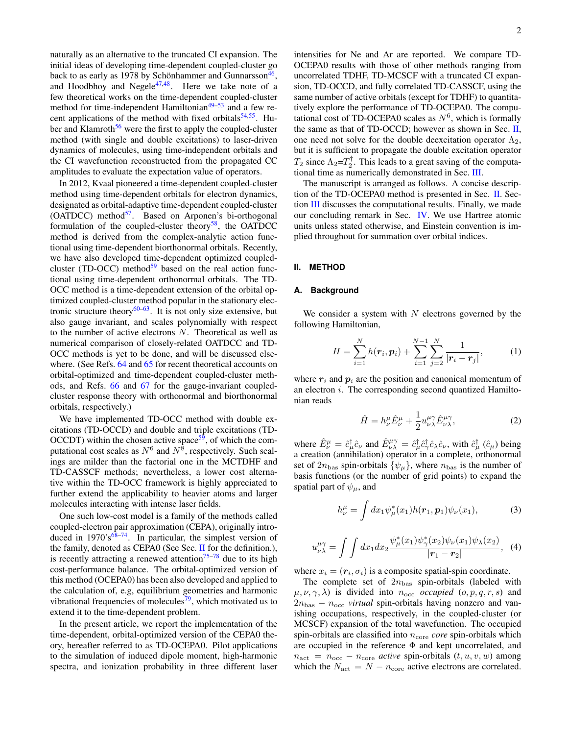naturally as an alternative to the truncated CI expansion. The initial ideas of developing time-dependent coupled-cluster go back to as early as 1978 by Schönhammer and Gunnarsson<sup>[46](#page-8-27)</sup>, and Hoodbhoy and Negele $47,48$  $47,48$ . Here we take note of a few theoretical works on the time-dependent coupled-cluster method for time-independent Hamiltonian<sup>[49–](#page-8-30)[53](#page-9-0)</sup> and a few recent applications of the method with fixed orbitals $54,55$  $54,55$ . Hu-ber and Klamroth<sup>[56](#page-9-3)</sup> were the first to apply the coupled-cluster method (with single and double excitations) to laser-driven dynamics of molecules, using time-independent orbitals and the CI wavefunction reconstructed from the propagated CC amplitudes to evaluate the expectation value of operators.

In 2012, Kvaal pioneered a time-dependent coupled-cluster method using time-dependent orbitals for electron dynamics, designated as orbital-adaptive time-dependent coupled-cluster (OATDCC) method $57$ . Based on Arponen's bi-orthogonal formulation of the coupled-cluster theory<sup>[58](#page-9-5)</sup>, the OATDCC method is derived from the complex-analytic action functional using time-dependent biorthonormal orbitals. Recently, we have also developed time-dependent optimized coupledcluster (TD-OCC) method $59$  based on the real action functional using time-dependent orthonormal orbitals. The TD-OCC method is a time-dependent extension of the orbital optimized coupled-cluster method popular in the stationary elec-tronic structure theory<sup>[60](#page-9-7)[–63](#page-9-8)</sup>. It is not only size extensive, but also gauge invariant, and scales polynomially with respect to the number of active electrons N. Theoretical as well as numerical comparison of closely-related OATDCC and TD-OCC methods is yet to be done, and will be discussed else-where. (See Refs. [64](#page-9-9) and [65](#page-9-10) for recent theoretical accounts on orbital-optimized and time-dependent coupled-cluster methods, and Refs. [66](#page-9-11) and [67](#page-9-12) for the gauge-invariant coupledcluster response theory with orthonormal and biorthonormal orbitals, respectively.)

We have implemented TD-OCC method with double excitations (TD-OCCD) and double and triple excitations (TD- $OCCDT$ ) within the chosen active space<sup>[59](#page-9-6)</sup>, of which the computational cost scales as  $N^6$  and  $N^8$ , respectively. Such scalings are milder than the factorial one in the MCTDHF and TD-CASSCF methods; nevertheless, a lower cost alternative within the TD-OCC framework is highly appreciated to further extend the applicability to heavier atoms and larger molecules interacting with intense laser fields.

One such low-cost model is a family of the methods called coupled-electron pair approximation (CEPA), originally introduced in  $1970's^{68-74}$  $1970's^{68-74}$  $1970's^{68-74}$ . In particular, the simplest version of the family, denoted as CEPA0 (See Sec. [II](#page-1-0) for the definition.), is recently attracting a renewed attention<sup>[75–](#page-9-15)[78](#page-9-16)</sup> due to its high cost-performance balance. The orbital-optimized version of this method (OCEPA0) has been also developed and applied to the calculation of, e.g, equilibrium geometries and harmonic vibrational frequencies of molecules<sup>[79](#page-9-17)</sup>, which motivated us to extend it to the time-dependent problem.

In the present article, we report the implementation of the time-dependent, orbital-optimized version of the CEPA0 theory, hereafter referred to as TD-OCEPA0. Pilot applications to the simulation of induced dipole moment, high-harmonic spectra, and ionization probability in three different laser

intensities for Ne and Ar are reported. We compare TD-OCEPA0 results with those of other methods ranging from uncorrelated TDHF, TD-MCSCF with a truncated CI expansion, TD-OCCD, and fully correlated TD-CASSCF, using the same number of active orbitals (except for TDHF) to quantitatively explore the performance of TD-OCEPA0. The computational cost of TD-OCEPA0 scales as  $N^6$ , which is formally the same as that of TD-OCCD; however as shown in Sec. [II,](#page-1-0) one need not solve for the double deexcitation operator  $\Lambda_2$ , but it is sufficient to propagate the double excitation operator  $T_2$  since  $\Lambda_2 = T_2^{\dagger}$ . This leads to a great saving of the computational time as numerically demonstrated in Sec. [III.](#page-4-0)

The manuscript is arranged as follows. A concise description of the TD-OCEPA0 method is presented in Sec. [II.](#page-1-0) Section [III](#page-4-0) discusses the computational results. Finally, we made our concluding remark in Sec. [IV.](#page-7-0) We use Hartree atomic units unless stated otherwise, and Einstein convention is implied throughout for summation over orbital indices.

#### <span id="page-1-0"></span>**II. METHOD**

## **A. Background**

We consider a system with  $N$  electrons governed by the following Hamiltonian,

<span id="page-1-2"></span>
$$
H = \sum_{i=1}^{N} h(\mathbf{r}_i, \mathbf{p}_i) + \sum_{i=1}^{N-1} \sum_{j=2}^{N} \frac{1}{|\mathbf{r}_i - \mathbf{r}_j|},
$$
 (1)

where  $r_i$  and  $p_i$  are the position and canonical momentum of an electron  $i$ . The corresponding second quantized Hamiltonian reads

<span id="page-1-1"></span>
$$
\hat{H} = h^{\mu}_{\nu}\hat{E}^{\mu}_{\nu} + \frac{1}{2}u^{\mu\gamma}_{\nu\lambda}\hat{E}^{\mu\gamma}_{\nu\lambda},\tag{2}
$$

where  $\hat{E}^{\mu}_{\nu} = \hat{c}^{\dagger}_{\mu} \hat{c}_{\nu}$  and  $\hat{E}^{\mu\gamma}_{\nu\lambda} = \hat{c}^{\dagger}_{\mu} \hat{c}^{\dagger}_{\gamma} \hat{c}_{\lambda} \hat{c}_{\nu}$ , with  $\hat{c}^{\dagger}_{\mu} (\hat{c}_{\mu})$  being a creation (annihilation) operator in a complete, orthonormal set of  $2n_{\text{bas}}$  spin-orbitals  $\{\psi_\mu\}$ , where  $n_{\text{bas}}$  is the number of basis functions (or the number of grid points) to expand the spatial part of  $\psi_{\mu}$ , and

$$
h_{\nu}^{\mu} = \int dx_1 \psi_{\mu}^*(x_1) h(\mathbf{r}_1, \mathbf{p}_1) \psi_{\nu}(x_1), \tag{3}
$$

$$
u^{\mu\gamma}_{\nu\lambda} = \int \int dx_1 dx_2 \frac{\psi^*_{\mu}(x_1)\psi^*_{\gamma}(x_2)\psi_{\nu}(x_1)\psi_{\lambda}(x_2)}{|r_1 - r_2|}, \quad (4)
$$

where  $x_i = (r_i, \sigma_i)$  is a composite spatial-spin coordinate.

The complete set of  $2n_{\text{bas}}$  spin-orbitals (labeled with  $\mu, \nu, \gamma, \lambda$  is divided into  $n_{\rm occ}$  *occupied*  $(o, p, q, r, s)$  and  $2n_{\text{bas}} - n_{\text{occ}}$  *virtual* spin-orbitals having nonzero and vanishing occupations, respectively, in the coupled-cluster (or MCSCF) expansion of the total wavefunction. The occupied spin-orbitals are classified into  $n_{\text{core}}$  *core* spin-orbitals which are occupied in the reference  $\Phi$  and kept uncorrelated, and  $n_{\text{act}} = n_{\text{occ}} - n_{\text{core}}$  *active* spin-orbitals  $(t, u, v, w)$  among which the  $N_{\text{act}} = N - n_{\text{core}}$  active electrons are correlated.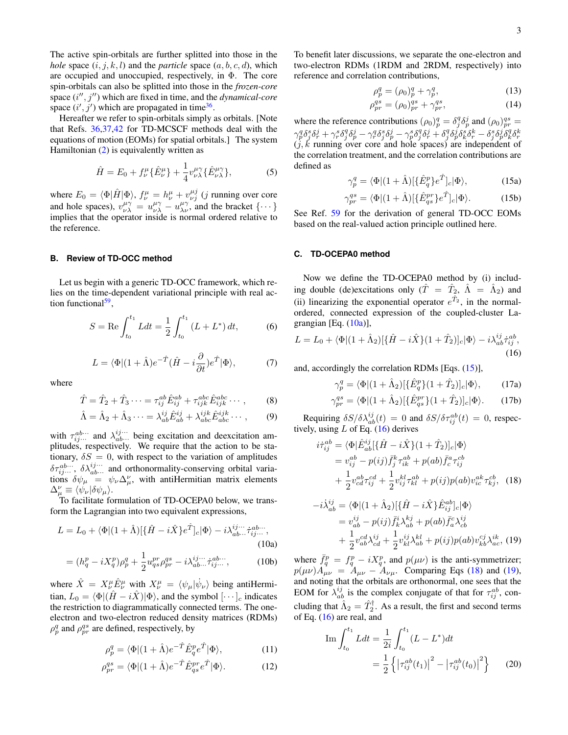The active spin-orbitals are further splitted into those in the *hole* space  $(i, j, k, l)$  and the *particle* space  $(a, b, c, d)$ , which are occupied and unoccupied, respectively, in Φ. The core spin-orbitals can also be splitted into those in the *frozen-core* space  $(i'', j'')$  which are fixed in time, and the *dynamical-core* space  $(i', j')$  which are propagated in time<sup>[36](#page-8-21)</sup>.

Hereafter we refer to spin-orbitals simply as orbitals. [Note that Refs. [36](#page-8-21)[,37](#page-8-31)[,42](#page-8-24) for TD-MCSCF methods deal with the equations of motion (EOMs) for spatial orbitals.] The system Hamiltonian [\(2\)](#page-1-1) is equivalently written as

$$
\hat{H} = E_0 + f^{\mu}_{\nu} \{ \hat{E}^{\mu}_{\nu} \} + \frac{1}{4} v^{\mu \gamma}_{\nu \lambda} \{ \hat{E}^{\mu \gamma}_{\nu \lambda} \}, \tag{5}
$$

where  $E_0 = \langle \Phi | \hat{H} | \Phi \rangle$ ,  $f^{\mu}_{\nu} = h^{\mu}_{\nu} + v^{\mu j}_{\nu j}$  (*j* running over core and hole spaces),  $v_{\nu\lambda}^{\mu\gamma} = u_{\nu\lambda}^{\mu\gamma} - u_{\lambda\nu}^{\mu\gamma}$ , and the bracket  $\{\cdots\}$ implies that the operator inside is normal ordered relative to the reference.

## <span id="page-2-7"></span>**B. Review of TD-OCC method**

Let us begin with a generic TD-OCC framework, which relies on the time-dependent variational principle with real ac-tion functional<sup>[59](#page-9-6)</sup>,

$$
S = \text{Re}\int_{t_0}^{t_1} Ldt = \frac{1}{2} \int_{t_0}^{t_1} (L + L^*) dt, \tag{6}
$$

<span id="page-2-5"></span>
$$
L = \langle \Phi | (1 + \hat{\Lambda}) e^{-\hat{T}} (\hat{H} - i \frac{\partial}{\partial t}) e^{\hat{T}} | \Phi \rangle, \tag{7}
$$

where

$$
\hat{T} = \hat{T}_2 + \hat{T}_3 \cdots = \tau_{ij}^{ab} \hat{E}_{ij}^{ab} + \tau_{ijk}^{abc} \hat{E}_{ijk}^{abc} \cdots, \qquad (8)
$$

$$
\hat{\Lambda} = \hat{\Lambda}_2 + \hat{\Lambda}_3 \cdots = \lambda_{ab}^{ij} \hat{E}_{ab}^{ij} + \lambda_{abc}^{ijk} \hat{E}_{abc}^{ijk} \cdots , \qquad (9)
$$

with  $\tau_{ij\cdots}^{ab\cdots}$  and  $\lambda_{ab\cdots}^{ij\cdots}$  being excitation and deexcitation amplitudes, respectively. We require that the action to be stationary,  $\delta S = 0$ , with respect to the variation of amplitudes  $\delta\tau_{ij\cdots}^{ab\cdots}$ ,  $\delta\lambda_{ab\cdots}^{ij\cdots}$  and orthonormality-conserving orbital variations  $\delta \psi_{\mu} = \psi_{\nu} \Delta_{\mu}^{\nu}$ , with antiHermitian matrix elements  $\Delta^{\nu}_{\mu} \equiv \langle \dot{\psi}_{\nu} | \delta \psi_{\mu} \rangle.$ 

To facilitate formulation of TD-OCEPA0 below, we transform the Lagrangian into two equivalent expressions,

$$
L = L_0 + \langle \Phi | (1 + \hat{\Lambda}) [\{\hat{H} - i\hat{X}\} e^{\hat{T}}]_c | \Phi \rangle - i \lambda_{ab...}^{ij...} \tilde{\tau}_{ij...}^{ab...},
$$
\n(10a)

$$
= (h_q^p - iX_q^p)\rho_p^q + \frac{1}{2}u_{qs}^{pr}\rho_{pr}^{qs} - i\lambda_{ab\cdots}^{ij\cdots} \dot{\tau}_{ij\cdots}^{ab\cdots}, \qquad (10b)
$$

where  $\hat{X} = X^{\mu}_{\nu} \hat{E}^{\mu}_{\nu}$  with  $X^{\mu}_{\nu} = \langle \psi_{\mu} | \dot{\psi}_{\nu} \rangle$  being antiHermitian,  $L_0 = \langle \Phi | (\hat{H} - i\hat{X}) | \Phi \rangle$ , and the symbol  $[\cdots]_c$  indicates the restriction to diagrammatically connected terms. The oneelectron and two-electron reduced density matrices (RDMs)  $\rho_p^q$  and  $\rho_{pr}^{qs}$  are defined, respectively, by

$$
\rho_p^q = \langle \Phi | (1 + \hat{\Lambda}) e^{-\hat{T}} \hat{E}_q^p e^{\hat{T}} | \Phi \rangle, \tag{11}
$$

$$
\rho_{pr}^{qs} = \langle \Phi | (1 + \hat{\Lambda}) e^{-\hat{T}} \hat{E}_{qs}^{pr} e^{\hat{T}} | \Phi \rangle.
$$
 (12)

To benefit later discussions, we separate the one-electron and two-electron RDMs (1RDM and 2RDM, respectively) into reference and correlation contributions,

$$
\rho_p^q = (\rho_0)_p^q + \gamma_p^q,\tag{13}
$$

$$
\rho_{pr}^{qs} = (\rho_0)_{pr}^{qs} + \gamma_{pr}^{qs},\tag{14}
$$

where the reference contributions  $(\rho_0)_p^q = \delta_j^q \delta_p^j$  and  $(\rho_0)_{pr}^{qs} =$  $\gamma_p^q \delta_j^s \delta_r^j + \gamma_r^s \delta_j^q \delta_p^j - \gamma_r^q \delta_j^s \delta_p^j - \gamma_p^s \delta_j^q \delta_r^j + \delta_j^q \delta_p^j \delta_k^s \delta_r^k - \delta_j^s \delta_p^j \delta_k^q \delta_r^k$ <br>(*j*, *k* running over core and hole spaces) are independent of the correlation treatment, and the correlation contributions are defined as

<span id="page-2-0"></span>
$$
\gamma_p^q = \langle \Phi | (1 + \hat{\Lambda}) [\{\hat{E}_q^p\} e^{\hat{T}}]_c | \Phi \rangle, \tag{15a}
$$

$$
\gamma_{pr}^{qs} = \langle \Phi | (1 + \hat{\Lambda}) [\{\hat{E}_{qs}^{pr}\} e^{\hat{T}}]_c | \Phi \rangle. \tag{15b}
$$

See Ref. [59](#page-9-6) for the derivation of general TD-OCC EOMs based on the real-valued action principle outlined here.

#### <span id="page-2-6"></span>**C. TD-OCEPA0 method**

Now we define the TD-OCEPA0 method by (i) including double (de)excitations only ( $\hat{T} = \hat{T}_2$ ,  $\hat{\Lambda} = \hat{\Lambda}_2$ ) and (ii) linearizing the exponential operator  $e^{\hat{T}_2}$ , in the normalordered, connected expression of the coupled-cluster Lagrangian [Eq.  $(10a)$ ],

<span id="page-2-1"></span>
$$
L = L_0 + \langle \Phi | (1 + \hat{\Lambda}_2) [\{\hat{H} - i\hat{X}\}(1 + \hat{T}_2)]_c | \Phi \rangle - i \lambda_{ab}^{ij} \dot{\tau}_{ij}^{ab},
$$
\n(16)

and, accordingly the correlation RDMs [Eqs. [\(15\)](#page-2-0)],

<span id="page-2-4"></span>
$$
\gamma_p^q = \langle \Phi | (1 + \hat{\Lambda}_2) [\{\hat{E}_q^p\}(1 + \hat{T}_2)]_c | \Phi \rangle, \qquad (17a)
$$

$$
\gamma_{pr}^{qs} = \langle \Phi | (1 + \hat{\Lambda}_2) [\{\hat{E}_{qs}^{pr}\}(1 + \hat{T}_2)]_c | \Phi \rangle. \tag{17b}
$$

Requiring  $\delta S/\delta \lambda_{ab}^{ij}(t) = 0$  and  $\delta S/\delta \tau_{ij}^{ab}(t) = 0$ , respectively, using  $L$  of Eq. [\(16\)](#page-2-1) derives

<span id="page-2-2"></span>
$$
\begin{split} i\dot{\tau}_{ij}^{ab} &= \langle \Phi | \hat{E}_{ab}^{ij} [\{\hat{H} - i\hat{X}\}(1+\hat{T}_2)]_c | \Phi \rangle \\ &= v_{ij}^{ab} - p(ij) \bar{f}_j^k \tau_{ik}^{ab} + p(ab) \bar{f}_c^a \tau_{ij}^{cb} \\ &+ \frac{1}{2} v_{cd}^{ab} \tau_{ij}^{cd} + \frac{1}{2} v_{ij}^{kl} \tau_{kl}^{ab} + p(ij) p(ab) v_{ic}^{ak} \tau_{kj}^{cb}, \end{split} \tag{18}
$$

<span id="page-2-3"></span>
$$
-i\dot{\lambda}_{ab}^{ij} = \langle \Phi | (1 + \hat{\Lambda}_2) [ \{ \hat{H} - i\hat{X} \} \hat{E}_{ij}^{ab} ]_c | \Phi \rangle
$$
  
\n
$$
= v_{ab}^{ij} - p(ij) \bar{f}_k^i \lambda_{ab}^{kj} + p(ab) \bar{f}_a^c \lambda_{cb}^{ij}
$$
  
\n
$$
+ \frac{1}{2} v_{ab}^{cd} \lambda_{cd}^{ij} + \frac{1}{2} v_{kl}^{ij} \lambda_{ab}^{kl} + p(ij) p(ab) v_{kb}^{cj} \lambda_{ac}^{ik}, (19)
$$

where  $\bar{f}_q^p = f_q^p - iX_q^p$ , and  $p(\mu\nu)$  is the anti-symmetrizer;  $p(\mu\nu)\hat{A_{\mu\nu}} = \hat{A}_{\mu\nu} - \hat{A}_{\nu\mu}$ . Comparing Eqs [\(18\)](#page-2-2) and [\(19\)](#page-2-3), and noting that the orbitals are orthonormal, one sees that the EOM for  $\lambda_{ab}^{ij}$  is the complex conjugate of that for  $\tau_{ij}^{ab}$ , concluding that  $\hat{\Lambda}_2 = \hat{T}_2^{\dagger}$ . As a result, the first and second terms of Eq. [\(16\)](#page-2-1) are real, and

Im 
$$
\int_{t_0}^{t_1} L dt = \frac{1}{2i} \int_{t_0}^{t_1} (L - L^*) dt
$$

$$
= \frac{1}{2} \left\{ \left| \tau_{ij}^{ab}(t_1) \right|^2 - \left| \tau_{ij}^{ab}(t_0) \right|^2 \right\} \tag{20}
$$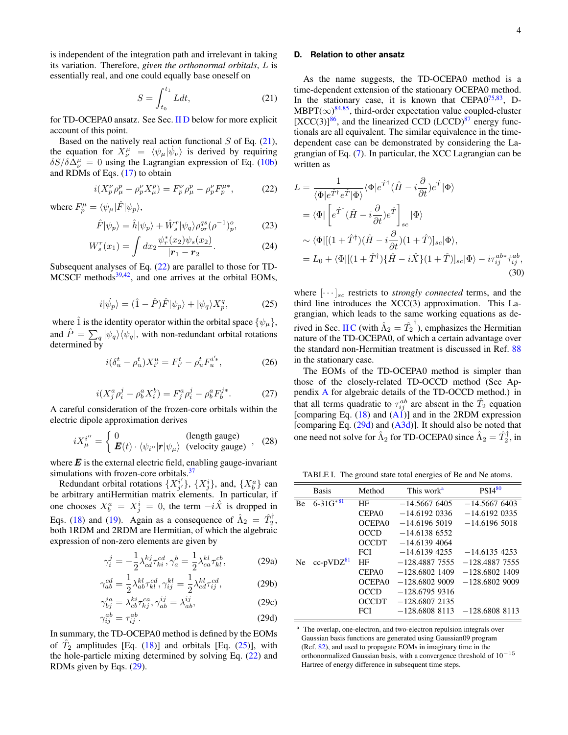is independent of the integration path and irrelevant in taking its variation. Therefore, *given the orthonormal orbitals*, L is essentially real, and one could equally base oneself on

<span id="page-3-1"></span>
$$
S = \int_{t_0}^{t_1} L dt,
$$
\n(21)

for TD-OCEPA0 ansatz. See Sec. [II D](#page-3-0) below for more explicit account of this point.

Based on the natively real action functional  $S$  of Eq. [\(21\)](#page-3-1), the equation for  $X^{\mu}_{\nu} = \langle \psi_{\mu} | \dot{\psi}_{\nu} \rangle$  is derived by requiring  $\delta S/\delta \Delta^{\mu}_{\nu} = 0$  using the Lagrangian expression of Eq. [\(10b\)](#page-1-2) and RDMs of Eqs. [\(17\)](#page-2-4) to obtain

<span id="page-3-2"></span>
$$
i(X_p^{\nu} \rho_{\mu}^p - \rho_p^{\nu} X_{\mu}^p) = F_p^{\nu} \rho_{\mu}^p - \rho_p^{\nu} F_p^{\mu *}, \tag{22}
$$

where  $F_p^{\mu} = \langle \psi_{\mu} | \hat{F} | \psi_p \rangle$ ,

$$
\hat{F}|\psi_p\rangle = \hat{h}|\psi_p\rangle + \hat{W}_s^r|\psi_q\rangle \rho_{or}^{qs} (\rho^{-1})_p^o,\tag{23}
$$

$$
W_s^r(x_1) = \int dx_2 \frac{\psi_r^*(x_2)\psi_s(x_2)}{|r_1 - r_2|}.
$$
 (24)

Subsequent analyses of Eq.  $(22)$  are parallel to those for TD-MCSCF methods $39,42$  $39,42$ , and one arrives at the orbital EOMs,

<span id="page-3-3"></span>
$$
i|\psi_p\rangle = (\hat{1} - \hat{P})\hat{F}|\psi_p\rangle + |\psi_q\rangle X_p^q,\tag{25}
$$

where  $\hat{1}$  is the identity operator within the orbital space  $\{\psi_{\mu}\},$ and  $\hat{P} = \sum_{q} |\psi_q\rangle\langle\psi_q|$ , with non-redundant orbital rotations determined by

$$
i(\delta_u^t - \rho_u^t)X_{i'}^u = F_{i'}^t - \rho_u^t F_u^{i'}\,,\tag{26}
$$

<span id="page-3-7"></span>
$$
i(X_j^a \rho_i^j - \rho_b^a X_i^b) = F_j^a \rho_i^j - \rho_b^a F_b^{j*}.
$$
 (27)

A careful consideration of the frozen-core orbitals within the electric dipole approximation derives

$$
iX_{\mu}^{i''} = \begin{cases} 0 & \text{(length gauge)}\\ \mathbf{E}(t) \cdot \langle \psi_{i''} | \mathbf{r} | \psi_{\mu} \rangle & \text{(velocity gauge)} \end{cases}, \quad (28)
$$

where  $E$  is the external electric field, enabling gauge-invariant simulations with frozen-core orbitals.<sup>[37](#page-8-31)</sup>

Redundant orbital rotations  $\{X^{i'}_{j'}\}$ ,  $\{X^{i}_{j}\}$ , and,  $\{X^{a}_{b}\}$  can be arbitrary antiHermitian matrix elements. In particular, if one chooses  $X_b^a = X_j^i = 0$ , the term  $-i\hat{X}$  is dropped in Eqs. [\(18\)](#page-2-2) and [\(19\)](#page-2-3). Again as a consequence of  $\hat{\Lambda}_2 = \hat{T}_2^{\dagger}$ , both 1RDM and 2RDM are Hermitian, of which the algebraic expression of non-zero elements are given by

$$
\gamma_i^j = -\frac{1}{2} \lambda_{cd}^{kj} \tau_{ki}^{cd}, \gamma_a^b = \frac{1}{2} \lambda_{ca}^{kl} \tau_{kl}^{cb}, \qquad (29a)
$$

$$
\gamma_{ab}^{cd} = \frac{1}{2} \lambda_{ab}^{kl} \tau_{kl}^{cd}, \gamma_{ij}^{kl} = \frac{1}{2} \lambda_{cd}^{kl} \tau_{ij}^{cd}, \qquad (29b)
$$

$$
\gamma_{bj}^{ia} = \lambda_{cb}^{ki} \tau_{kj}^{ca}, \gamma_{ab}^{ij} = \lambda_{ab}^{ij},\tag{29c}
$$

$$
\gamma_{ij}^{ab} = \tau_{ij}^{ab}.\tag{29d}
$$

In summary, the TD-OCEPA0 method is defined by the EOMs of  $\hat{T}_2$  amplitudes [Eq. [\(18\)](#page-2-2)] and orbitals [Eq. [\(25\)](#page-3-3)], with the hole-particle mixing determined by solving Eq. [\(22\)](#page-3-2) and RDMs given by Eqs. [\(29\)](#page-3-4).

### <span id="page-3-0"></span>**D. Relation to other ansatz**

As the name suggests, the TD-OCEPA0 method is a time-dependent extension of the stationary OCEPA0 method. In the stationary case, it is known that  $CEPA0^{75,83}$  $CEPA0^{75,83}$  $CEPA0^{75,83}$  $CEPA0^{75,83}$ , D- $MBPT(\infty)^{84,85}$  $MBPT(\infty)^{84,85}$  $MBPT(\infty)^{84,85}$  $MBPT(\infty)^{84,85}$ , third-order expectation value coupled-cluster  $[XCC(3)]^{86}$  $[XCC(3)]^{86}$  $[XCC(3)]^{86}$ , and the linearized CCD (LCCD)<sup>[87](#page-9-22)</sup> energy functionals are all equivalent. The similar equivalence in the timedependent case can be demonstrated by considering the Lagrangian of Eq. [\(7\)](#page-2-5). In particular, the XCC Lagrangian can be written as

$$
L = \frac{1}{\langle \Phi | e^{\hat{T}^{\dagger}} e^{\hat{T}} | \Phi \rangle} \langle \Phi | e^{\hat{T}^{\dagger}} (\hat{H} - i \frac{\partial}{\partial t}) e^{\hat{T}} | \Phi \rangle
$$
  
\n
$$
= \langle \Phi | \left[ e^{\hat{T}^{\dagger}} (\hat{H} - i \frac{\partial}{\partial t}) e^{\hat{T}} \right]_{sc} | \Phi \rangle
$$
  
\n
$$
\sim \langle \Phi | [(1 + \hat{T}^{\dagger}) (\hat{H} - i \frac{\partial}{\partial t}) (1 + \hat{T})]_{sc} | \Phi \rangle,
$$
  
\n
$$
= L_0 + \langle \Phi | [(1 + \hat{T}^{\dagger}) {\{\hat{H} - i \hat{X}\}(1 + \hat{T})}]_{sc} | \Phi \rangle - i \tau_{ij}^{ab*} \tau_{ij}^{ab},
$$
  
\n(30)

where  $\left[\cdots\right]_{sc}$  restricts to *strongly connected* terms, and the third line introduces the XCC(3) approximation. This Lagrangian, which leads to the same working equations as de-rived in Sec. [II C](#page-2-6) (with  $\hat{\Lambda}_2 = \hat{T}_2$ <sup>†</sup>), emphasizes the Hermitian nature of the TD-OCEPA0, of which a certain advantage over the standard non-Hermitian treatment is discussed in Ref. [88](#page-9-23) in the stationary case.

The EOMs of the TD-OCEPA0 method is simpler than those of the closely-related TD-OCCD method (See Appendix [A](#page-8-32) for algebraic details of the TD-OCCD method.) in that all terms quadratic to  $\tau_{ij}^{ab}$  are absent in the  $\hat{T}_2$  equation [comparing Eq.  $(18)$  and  $(A1)$ ] and in the 2RDM expression [comparing Eq. [\(29d\)](#page-1-2) and [\(A3d\)](#page-8-33)]. It should also be noted that one need not solve for  $\hat{\Lambda}_2$  for TD-OCEPA0 since  $\hat{\Lambda}_2 = \hat{T}_2^{\dagger}$ , in

<span id="page-3-6"></span>TABLE I. The ground state total energies of Be and Ne atoms.

<span id="page-3-4"></span>

|    | <b>Basis</b>               | Method             | This work <sup>a</sup> | PSI4 <sup>80</sup> |  |
|----|----------------------------|--------------------|------------------------|--------------------|--|
| Вe | $6 - 31\overline{G}^{*81}$ | HF                 | $-14.56676405$         | $-14.56676403$     |  |
|    |                            | CEPA <sub>0</sub>  | $-14.6192$ 0336        | $-14.6192$ 0335    |  |
|    |                            | OCEPA0             | $-14.61965019$         | $-14.61965018$     |  |
|    |                            | OCCD               | $-14.61386552$         |                    |  |
|    |                            | <b>OCCDT</b>       | $-14.61394064$         |                    |  |
|    |                            | <b>FCI</b>         | $-14.61394255$         | $-14.61354253$     |  |
| Ne | $cc$ -pVD $Z^{81}$         | HF                 | $-128.4887.7555$       | $-128.4887$ 7555   |  |
|    |                            | CEPA <sub>0</sub>  | $-128.6802$ 1409       | $-128,6802,1409$   |  |
|    |                            | OCEPA <sub>0</sub> | $-128,6802,9009$       | $-128,6802,9009$   |  |
|    |                            | OCCD               | $-128.67959316$        |                    |  |
|    |                            | OCCDT              | $-128.68072135$        |                    |  |
|    |                            | <b>FCI</b>         | $-128.68088113$        | $-128.6808$ 8113   |  |

<span id="page-3-5"></span><sup>&</sup>lt;sup>a</sup> The overlap, one-electron, and two-electron repulsion integrals over Gaussian basis functions are generated using Gaussian09 program (Ref. [82\)](#page-9-26), and used to propagate EOMs in imaginary time in the orthonormalized Gaussian basis, with a convergence threshold of 10−<sup>15</sup> Hartree of energy difference in subsequent time steps.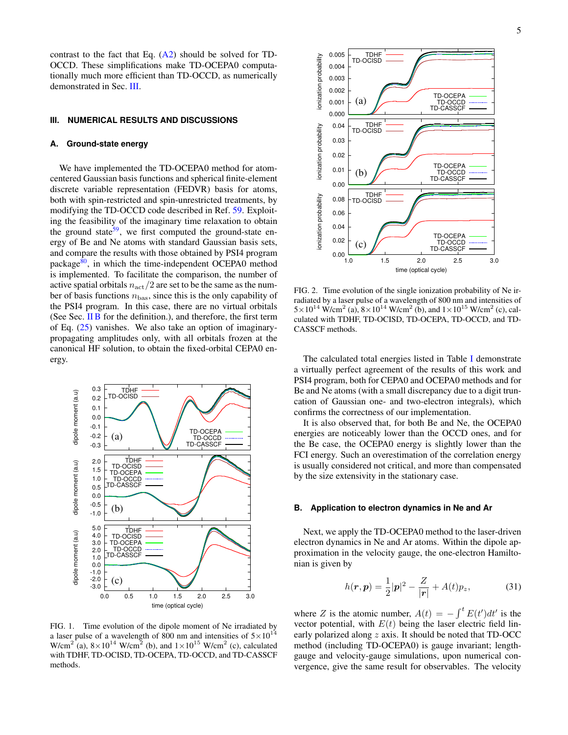contrast to the fact that Eq.  $(A2)$  should be solved for TD-OCCD. These simplifications make TD-OCEPA0 computationally much more efficient than TD-OCCD, as numerically demonstrated in Sec. [III.](#page-4-0)

#### <span id="page-4-0"></span>**III. NUMERICAL RESULTS AND DISCUSSIONS**

#### <span id="page-4-3"></span>**A. Ground-state energy**

We have implemented the TD-OCEPA0 method for atomcentered Gaussian basis functions and spherical finite-element discrete variable representation (FEDVR) basis for atoms, both with spin-restricted and spin-unrestricted treatments, by modifying the TD-OCCD code described in Ref. [59.](#page-9-6) Exploiting the feasibility of the imaginary time relaxation to obtain the ground state<sup>[59](#page-9-6)</sup>, we first computed the ground-state energy of Be and Ne atoms with standard Gaussian basis sets, and compare the results with those obtained by PSI4 program package $80$ , in which the time-independent OCEPA0 method is implemented. To facilitate the comparison, the number of active spatial orbitals  $n_{\text{act}}/2$  are set to be the same as the number of basis functions  $n_{\text{bas}}$ , since this is the only capability of the PSI4 program. In this case, there are no virtual orbitals (See Sec. [II B](#page-2-7) for the definition.), and therefore, the first term of Eq. [\(25\)](#page-3-3) vanishes. We also take an option of imaginarypropagating amplitudes only, with all orbitals frozen at the canonical HF solution, to obtain the fixed-orbital CEPA0 energy.



<span id="page-4-1"></span>FIG. 1. Time evolution of the dipole moment of Ne irradiated by a laser pulse of a wavelength of 800 nm and intensities of  $5 \times 10^{14}$ W/cm<sup>2</sup> (a),  $8 \times 10^{14}$  W/cm<sup>2</sup> (b), and  $1 \times 10^{15}$  W/cm<sup>2</sup> (c), calculated with TDHF, TD-OCISD, TD-OCEPA, TD-OCCD, and TD-CASSCF methods.



<span id="page-4-2"></span>FIG. 2. Time evolution of the single ionization probability of Ne irradiated by a laser pulse of a wavelength of 800 nm and intensities of  $5 \times 10^{14}$  W/cm<sup>2</sup> (a),  $8 \times 10^{14}$  W/cm<sup>2</sup> (b), and  $1 \times 10^{15}$  W/cm<sup>2</sup> (c), calculated with TDHF, TD-OCISD, TD-OCEPA, TD-OCCD, and TD-CASSCF methods.

time (optical cycle)

The calculated total energies listed in Table [I](#page-3-6) demonstrate a virtually perfect agreement of the results of this work and PSI4 program, both for CEPA0 and OCEPA0 methods and for Be and Ne atoms (with a small discrepancy due to a digit truncation of Gaussian one- and two-electron integrals), which confirms the correctness of our implementation.

It is also observed that, for both Be and Ne, the OCEPA0 energies are noticeably lower than the OCCD ones, and for the Be case, the OCEPA0 energy is slightly lower than the FCI energy. Such an overestimation of the correlation energy is usually considered not critical, and more than compensated by the size extensivity in the stationary case.

#### **B. Application to electron dynamics in Ne and Ar**

Next, we apply the TD-OCEPA0 method to the laser-driven electron dynamics in Ne and Ar atoms. Within the dipole approximation in the velocity gauge, the one-electron Hamiltonian is given by

$$
h(\mathbf{r}, \mathbf{p}) = \frac{1}{2} |\mathbf{p}|^2 - \frac{Z}{|\mathbf{r}|} + A(t) p_z,
$$
 (31)

where Z is the atomic number,  $A(t) = -\int^t E(t')dt'$  is the vector potential, with  $E(t)$  being the laser electric field linearly polarized along z axis. It should be noted that TD-OCC method (including TD-OCEPA0) is gauge invariant; lengthgauge and velocity-gauge simulations, upon numerical convergence, give the same result for observables. The velocity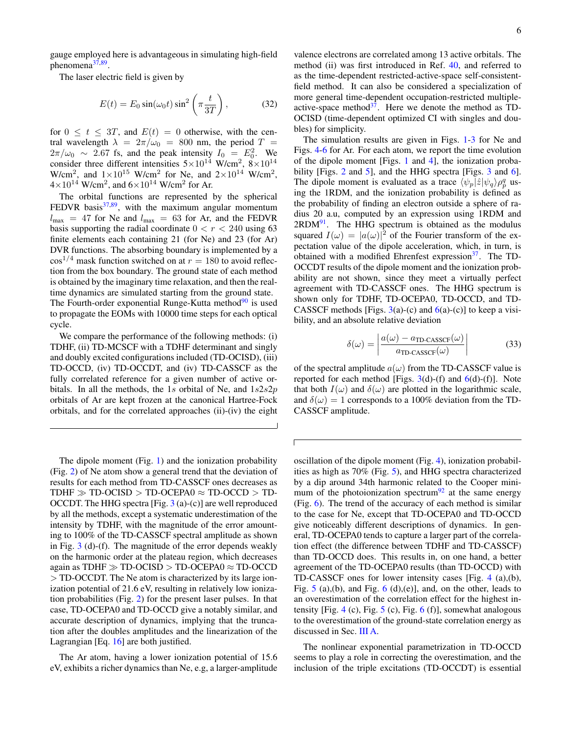gauge employed here is advantageous in simulating high-field phenomena<sup>[37,](#page-8-31)[89](#page-9-27)</sup>.

The laser electric field is given by

$$
E(t) = E_0 \sin(\omega_0 t) \sin^2\left(\pi \frac{t}{3T}\right),\tag{32}
$$

for  $0 \le t \le 3T$ , and  $E(t) = 0$  otherwise, with the central wavelength  $\lambda = 2\pi/\omega_0 = 800$  nm, the period  $T =$  $2\pi/\omega_0 \sim 2.67$  fs, and the peak intensity  $I_0 = E_0^2$ . We consider three different intensities  $5 \times 10^{14}$  W/cm<sup>2</sup>,  $8 \times 10^{14}$ W/cm<sup>2</sup>, and  $1 \times 10^{15}$  W/cm<sup>2</sup> for Ne, and  $2 \times 10^{14}$  W/cm<sup>2</sup>,  $4\times10^{14}$  W/cm<sup>2</sup>, and  $6\times10^{14}$  W/cm<sup>2</sup> for Ar.

The orbital functions are represented by the spherical FEDVR basis $37,89$  $37,89$ , with the maximum angular momentum  $l_{\text{max}}$  = 47 for Ne and  $l_{\text{max}}$  = 63 for Ar, and the FEDVR basis supporting the radial coordinate  $0 < r < 240$  using 63 finite elements each containing 21 (for Ne) and 23 (for Ar) DVR functions. The absorbing boundary is implemented by a  $\cos^{1/4}$  mask function switched on at  $r = 180$  to avoid reflection from the box boundary. The ground state of each method is obtained by the imaginary time relaxation, and then the realtime dynamics are simulated starting from the ground state. The Fourth-order exponential Runge-Kutta method $90$  is used to propagate the EOMs with 10000 time steps for each optical cycle.

We compare the performance of the following methods: (i) TDHF, (ii) TD-MCSCF with a TDHF determinant and singly and doubly excited configurations included (TD-OCISD), (iii) TD-OCCD, (iv) TD-OCCDT, and (iv) TD-CASSCF as the fully correlated reference for a given number of active orbitals. In all the methods, the 1s orbital of Ne, and  $1s2s2p$ orbitals of Ar are kept frozen at the canonical Hartree-Fock orbitals, and for the correlated approaches (ii)-(iv) the eight

The dipole moment (Fig. [1\)](#page-4-1) and the ionization probability (Fig. [2\)](#page-4-2) of Ne atom show a general trend that the deviation of results for each method from TD-CASSCF ones decreases as TDHF  $\gg$  TD-OCISD  $>$  TD-OCEPA0  $\approx$  TD-OCCD  $>$  TD-OCCDT. The HHG spectra [Fig. [3](#page-6-0) (a)-(c)] are well reproduced by all the methods, except a systematic underestimation of the intensity by TDHF, with the magnitude of the error amounting to 100% of the TD-CASSCF spectral amplitude as shown in Fig. [3](#page-6-0) (d)-(f). The magnitude of the error depends weakly on the harmonic order at the plateau region, which decreases again as TDHF  $\gg$  TD-OCISD  $>$  TD-OCEPA0  $\approx$  TD-OCCD > TD-OCCDT. The Ne atom is characterized by its large ionization potential of 21.6 eV, resulting in relatively low ionization probabilities (Fig. [2\)](#page-4-2) for the present laser pulses. In that case, TD-OCEPA0 and TD-OCCD give a notably similar, and accurate description of dynamics, implying that the truncation after the doubles amplitudes and the linearization of the Lagrangian [Eq. [16\]](#page-2-1) are both justified.

The Ar atom, having a lower ionization potential of 15.6 eV, exhibits a richer dynamics than Ne, e.g, a larger-amplitude

valence electrons are correlated among 13 active orbitals. The method (ii) was first introduced in Ref. [40,](#page-8-35) and referred to as the time-dependent restricted-active-space self-consistentfield method. It can also be considered a specialization of more general time-dependent occupation-restricted multipleactive-space method $3^7$ . Here we denote the method as TD-OCISD (time-dependent optimized CI with singles and doubles) for simplicity.

The simulation results are given in Figs. [1](#page-4-1)[-3](#page-6-0) for Ne and Figs. [4](#page-6-1)[-6](#page-7-1) for Ar. For each atom, we report the time evolution of the dipole moment [Figs. [1](#page-4-1) and [4\]](#page-6-1), the ionization proba-bility [Figs. [2](#page-4-2) and [5\]](#page-6-2), and the HHG spectra [Figs. [3](#page-6-0) and [6\]](#page-7-1). The dipole moment is evaluated as a trace  $\langle \psi_p | \hat{z} | \psi_q \rangle \rho_p^q$  using the 1RDM, and the ionization probability is defined as the probability of finding an electron outside a sphere of radius 20 a.u, computed by an expression using 1RDM and  $2RDM<sup>91</sup>$  $2RDM<sup>91</sup>$  $2RDM<sup>91</sup>$ . The HHG spectrum is obtained as the modulus squared  $I(\omega) = |a(\omega)|^2$  of the Fourier transform of the expectation value of the dipole acceleration, which, in turn, is obtained with a modified Ehrenfest expression $3^7$ . The TD-OCCDT results of the dipole moment and the ionization probability are not shown, since they meet a virtually perfect agreement with TD-CASSCF ones. The HHG spectrum is shown only for TDHF, TD-OCEPA0, TD-OCCD, and TD-CASSCF methods [Figs.  $3(a)-(c)$  $3(a)-(c)$  and  $6(a)-(c)$  $6(a)-(c)$ ] to keep a visibility, and an absolute relative deviation

<span id="page-5-0"></span>
$$
\delta(\omega) = \left| \frac{a(\omega) - a_{\text{TD-CASSCF}}(\omega)}{a_{\text{TD-CASSCF}}(\omega)} \right| \tag{33}
$$

of the spectral amplitude  $a(\omega)$  from the TD-CASSCF value is reported for each method [Figs.  $3(d)$  $3(d)$ -(f) and  $6(d)$  $6(d)$ -(f)]. Note that both  $I(\omega)$  and  $\delta(\omega)$  are plotted in the logarithmic scale, and  $\delta(\omega) = 1$  corresponds to a 100% deviation from the TD-CASSCF amplitude.

Г

oscillation of the dipole moment (Fig. [4\)](#page-6-1), ionization probabilities as high as 70% (Fig. [5\)](#page-6-2), and HHG spectra characterized by a dip around 34th harmonic related to the Cooper mini-mum of the photoionization spectrum<sup>[92](#page-9-30)</sup> at the same energy (Fig. [6\)](#page-7-1). The trend of the accuracy of each method is similar to the case for Ne, except that TD-OCEPA0 and TD-OCCD give noticeably different descriptions of dynamics. In general, TD-OCEPA0 tends to capture a larger part of the correlation effect (the difference between TDHF and TD-CASSCF) than TD-OCCD does. This results in, on one hand, a better agreement of the TD-OCEPA0 results (than TD-OCCD) with TD-CASSCF ones for lower intensity cases [Fig. [4](#page-6-1) (a),(b), Fig. [5](#page-6-2) (a),(b), and Fig. [6](#page-7-1) (d),(e)], and, on the other, leads to an overestimation of the correlation effect for the highest in-tensity [Fig. [4](#page-6-1) (c), Fig.  $5$  (c), Fig. [6](#page-7-1) (f)], somewhat analogous to the overestimation of the ground-state correlation energy as discussed in Sec. [III A.](#page-4-3)

The nonlinear exponential parametrization in TD-OCCD seems to play a role in correcting the overestimation, and the inclusion of the triple excitations (TD-OCCDT) is essential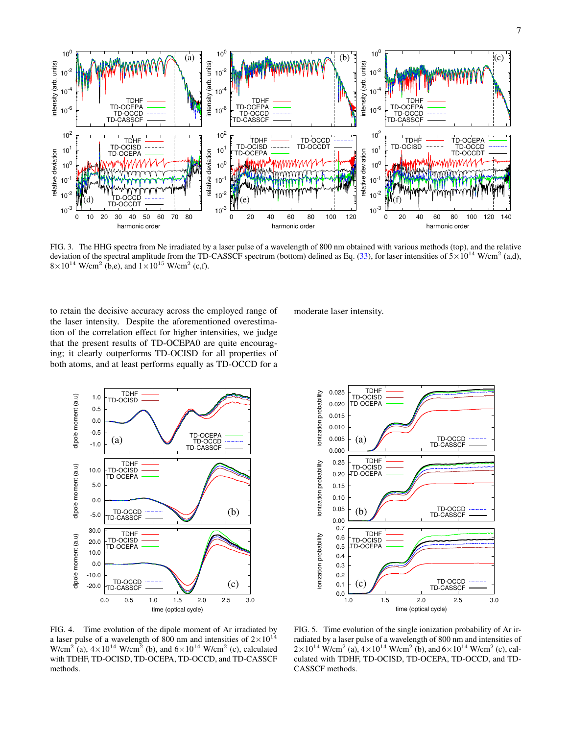

<span id="page-6-0"></span>FIG. 3. The HHG spectra from Ne irradiated by a laser pulse of a wavelength of 800 nm obtained with various methods (top), and the relative deviation of the spectral amplitude from the TD-CASSCF spectrum (bottom) defined as Eq. [\(33\)](#page-5-0), for laser intensities of  $5 \times 10^{14}$  W/cm<sup>2</sup> (a,d),  $8 \times 10^{14}$  W/cm<sup>2</sup> (b,e), and  $1 \times 10^{15}$  W/cm<sup>2</sup> (c,f).

to retain the decisive accuracy across the employed range of the laser intensity. Despite the aforementioned overestimation of the correlation effect for higher intensities, we judge that the present results of TD-OCEPA0 are quite encouraging; it clearly outperforms TD-OCISD for all properties of both atoms, and at least performs equally as TD-OCCD for a

TDHF<br>TD-OCISD dipole moment (a.u) 1.0 dipole moment (a.u) 0.5 0.0 -0.5 TD-OCEPA TD-OCCD (a) -1.0 TD-CASSCF<br>
TD-CCISD<br>
TD-CCISD<br>
TD-CCEPA<br>
TD-CASSCF<br>
TD-CASSCF<br>
TD-CASSCF  $\overline{\phantom{a}}$   $\overline{\phantom{a}}$   $\overline{\phantom{a}}$   $\overline{\phantom{a}}$   $\overline{\phantom{a}}$   $\overline{\phantom{a}}$   $\overline{\phantom{a}}$   $\overline{\phantom{a}}$   $\overline{\phantom{a}}$   $\overline{\phantom{a}}$   $\overline{\phantom{a}}$   $\overline{\phantom{a}}$   $\overline{\phantom{a}}$   $\overline{\phantom{a}}$   $\overline{\phantom{a}}$   $\overline{\phantom{a}}$   $\overline{\phantom{a}}$   $\overline{\phantom{a}}$   $\overline{\$ TDHF dipole moment (a.u) dipole moment (a.u) TD-OCISD 10.0 time (optical cycle) TD-OCEPA 5.0 0.0 (b) -5.0 TD-OCCD<br>TD-CASSCF 30.0  $\begin{array}{ccc} \n\mathsf{I} & \mathsf{I} & \mathsf{I} & \mathsf{I} & \mathsf{I} & \mathsf{I} & \mathsf{I} & \mathsf{I} \n\end{array}$ TDHF dipole moment (a.u) dipole moment (a.u) time (optical cycle) 20.0 TD-OCISD TD-OCEPA 10.0 0.0 -10.0 TD-OCCD -20.0 (c) D-CASSCF 0.0 0.5 1.0 1.5 2.0 2.5 3.0 time (optical cycle)

moderate laser intensity.



<span id="page-6-1"></span>FIG. 4. Time evolution of the dipole moment of Ar irradiated by a laser pulse of a wavelength of 800 nm and intensities of  $2\times10^{14}$ W/cm<sup>2</sup> (a),  $4 \times 10^{14}$  W/cm<sup>2</sup> (b), and  $6 \times 10^{14}$  W/cm<sup>2</sup> (c), calculated with TDHF, TD-OCISD, TD-OCEPA, TD-OCCD, and TD-CASSCF methods.

<span id="page-6-2"></span>FIG. 5. Time evolution of the single ionization probability of Ar irradiated by a laser pulse of a wavelength of 800 nm and intensities of  $2 \times 10^{14}$  W/cm<sup>2</sup> (a),  $4 \times 10^{14}$  W/cm<sup>2</sup> (b), and  $6 \times 10^{14}$  W/cm<sup>2</sup> (c), calculated with TDHF, TD-OCISD, TD-OCEPA, TD-OCCD, and TD-CASSCF methods.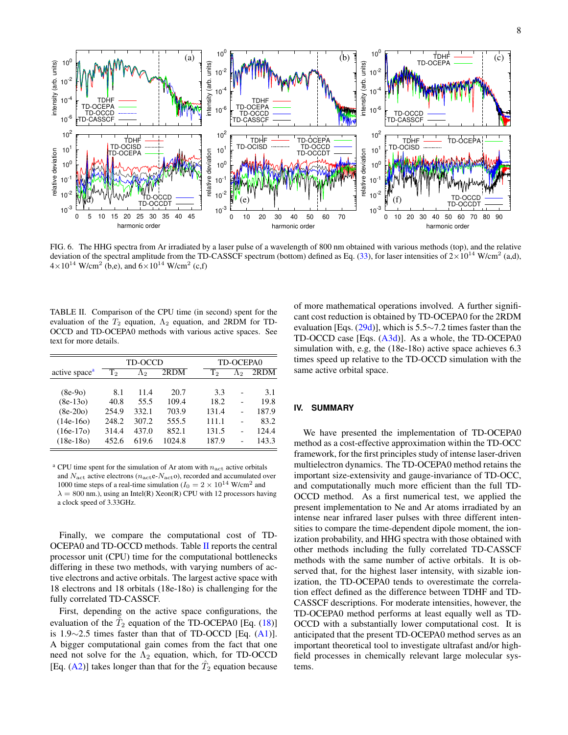

<span id="page-7-1"></span>FIG. 6. The HHG spectra from Ar irradiated by a laser pulse of a wavelength of 800 nm obtained with various methods (top), and the relative deviation of the spectral amplitude from the TD-CASSCF spectrum (bottom) defined as Eq. [\(33\)](#page-5-0), for laser intensities of  $2\times10^{14}$  W/cm<sup>2</sup> (a,d),  $4 \times 10^{14}$  W/cm<sup>2</sup> (b,e), and  $6 \times 10^{14}$  W/cm<sup>2</sup> (c,f)

<span id="page-7-3"></span>TABLE II. Comparison of the CPU time (in second) spent for the evaluation of the  $T_2$  equation,  $\Lambda_2$  equation, and 2RDM for TD-OCCD and TD-OCEPA0 methods with various active spaces. See text for more details.

|                           | TD-OCCD   |             |        |       | TD-OCEPA0 |       |  |
|---------------------------|-----------|-------------|--------|-------|-----------|-------|--|
| active space <sup>a</sup> | $\rm T_2$ | $\Lambda_2$ | 2RDM   | Т,    | Λэ        | 2RDM  |  |
|                           |           |             |        |       |           |       |  |
| $(8e-9o)$                 | 8.1       | 11.4        | 20.7   | 3.3   | ۳         | 3.1   |  |
| $(8e-13o)$                | 40.8      | 55.5        | 109.4  | 18.2  |           | 19.8  |  |
| $(8e-20o)$                | 254.9     | 332.1       | 703.9  | 131.4 |           | 187.9 |  |
| $(14e-16o)$               | 248.2     | 307.2       | 555.5  | 111.1 |           | 83.2  |  |
| $(16e-17o)$               | 314.4     | 437.0       | 852.1  | 131.5 |           | 124.4 |  |
| $(18e-18o)$               | 452.6     | 619.6       | 1024.8 | 187.9 |           | 143.3 |  |

<span id="page-7-2"></span><sup>a</sup> CPU time spent for the simulation of Ar atom with  $n_{\text{act}}$  active orbitals and  $N_{\text{act}}$  active electrons ( $n_{\text{act}}e-N_{\text{act}}$ ), recorded and accumulated over 1000 time steps of a real-time simulation ( $I_0 = 2 \times 10^{14}$  W/cm<sup>2</sup> and  $\lambda = 800$  nm.), using an Intel(R) Xeon(R) CPU with 12 processors having a clock speed of 3.33GHz.

Finally, we compare the computational cost of TD-OCEPA0 and TD-OCCD methods. Table [II](#page-7-3) reports the central processor unit (CPU) time for the computational bottlenecks differing in these two methods, with varying numbers of active electrons and active orbitals. The largest active space with 18 electrons and 18 orbitals (18e-18o) is challenging for the fully correlated TD-CASSCF.

First, depending on the active space configurations, the evaluation of the  $\hat{T}_2$  equation of the TD-OCEPA0 [Eq. [\(18\)](#page-2-2)] is 1.9∼2.5 times faster than that of TD-OCCD [Eq. [\(A1\)](#page-8-33)]. A bigger computational gain comes from the fact that one need not solve for the  $\Lambda_2$  equation, which, for TD-OCCD [Eq. [\(A2\)](#page-8-34)] takes longer than that for the  $\hat{T}_2$  equation because of more mathematical operations involved. A further significant cost reduction is obtained by TD-OCEPA0 for the 2RDM evaluation [Eqs. [\(29d\)](#page-1-2)], which is  $5.5 \sim 7.2$  times faster than the TD-OCCD case [Eqs. [\(A3d\)](#page-8-33)]. As a whole, the TD-OCEPA0 simulation with, e.g, the (18e-18o) active space achieves 6.3 times speed up relative to the TD-OCCD simulation with the same active orbital space.

# <span id="page-7-0"></span>**IV. SUMMARY**

We have presented the implementation of TD-OCEPA0 method as a cost-effective approximation within the TD-OCC framework, for the first principles study of intense laser-driven multielectron dynamics. The TD-OCEPA0 method retains the important size-extensivity and gauge-invariance of TD-OCC, and computationally much more efficient than the full TD-OCCD method. As a first numerical test, we applied the present implementation to Ne and Ar atoms irradiated by an intense near infrared laser pulses with three different intensities to compare the time-dependent dipole moment, the ionization probability, and HHG spectra with those obtained with other methods including the fully correlated TD-CASSCF methods with the same number of active orbitals. It is observed that, for the highest laser intensity, with sizable ionization, the TD-OCEPA0 tends to overestimate the correlation effect defined as the difference between TDHF and TD-CASSCF descriptions. For moderate intensities, however, the TD-OCEPA0 method performs at least equally well as TD-OCCD with a substantially lower computational cost. It is anticipated that the present TD-OCEPA0 method serves as an important theoretical tool to investigate ultrafast and/or highfield processes in chemically relevant large molecular systems.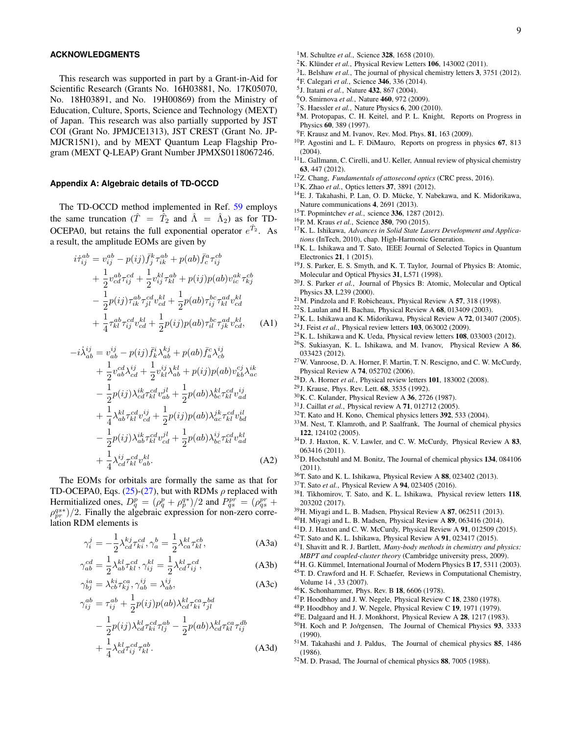### **ACKNOWLEDGMENTS**

This research was supported in part by a Grant-in-Aid for Scientific Research (Grants No. 16H03881, No. 17K05070, No. 18H03891, and No. 19H00869) from the Ministry of Education, Culture, Sports, Science and Technology (MEXT) of Japan. This research was also partially supported by JST COI (Grant No. JPMJCE1313), JST CREST (Grant No. JP-MJCR15N1), and by MEXT Quantum Leap Flagship Program (MEXT Q-LEAP) Grant Number JPMXS0118067246.

## <span id="page-8-32"></span>**Appendix A: Algebraic details of TD-OCCD**

The TD-OCCD method implemented in Ref. [59](#page-9-6) employs the same truncation ( $\hat{T} = \hat{T}_2$  and  $\hat{\Lambda} = \hat{\Lambda}_2$ ) as for TD-OCEPA0, but retains the full exponential operator  $e^{\hat{T}_2}$ . As a result, the amplitude EOMs are given by

<span id="page-8-33"></span>
$$
i\dot{\tau}_{ij}^{ab} = v_{ij}^{ab} - p(ij)\bar{f}_{j}^{k}\tau_{ik}^{ab} + p(ab)\bar{f}_{c}^{a}\tau_{ij}^{cb} + \frac{1}{2}v_{cd}^{ab}\tau_{ij}^{cd} + \frac{1}{2}v_{ij}^{kl}\tau_{kl}^{ab} + p(ij)p(ab)v_{ic}^{ak}\tau_{kj}^{cb} - \frac{1}{2}p(ij)\tau_{ik}^{ab}\tau_{jl}^{cd}v_{cd}^{kl} + \frac{1}{2}p(ab)\tau_{ij}^{bc}\tau_{kl}^{ad}v_{cd}^{kl} + \frac{1}{4}\tau_{kl}^{ab}\tau_{ij}^{cd}v_{cd}^{kl} + \frac{1}{2}p(ij)p(ab)\tau_{il}^{bc}\tau_{jk}^{ad}v_{cd}^{kl}, \quad (A1)
$$

<span id="page-8-34"></span>
$$
-i\dot{\lambda}_{ab}^{ij} = v_{ab}^{ij} - p(ij)\bar{f}_{k}^{i}\lambda_{ab}^{kj} + p(ab)\bar{f}_{a}^{c}\lambda_{cb}^{ij} + \frac{1}{2}v_{ab}^{cd}\lambda_{cd}^{ij} + \frac{1}{2}v_{kl}^{ij}\lambda_{ab}^{kl} + p(ij)p(ab)v_{kb}^{cj}\lambda_{ac}^{ik} - \frac{1}{2}p(ij)\lambda_{cd}^{ik}\tau_{kl}^{cd}v_{ab}^{jl} + \frac{1}{2}p(ab)\lambda_{bc}^{kl}\tau_{kl}^{cd}v_{ad}^{ij} + \frac{1}{4}\lambda_{ab}^{kl}\tau_{kl}^{cd}v_{cd}^{ij} + \frac{1}{2}p(ij)p(ab)\lambda_{ac}^{ik}\tau_{kl}^{cd}v_{bd}^{il} - \frac{1}{2}p(ij)\lambda_{ab}^{ik}\tau_{kl}^{cd}v_{cd}^{jl} + \frac{1}{2}p(ab)\lambda_{bc}^{ij}\tau_{kl}^{cd}v_{ad}^{kl} + \frac{1}{4}\lambda_{cd}^{ij}\tau_{kl}^{cd}v_{ab}^{kl}
$$
 (A2)

The EOMs for orbitals are formally the same as that for TD-OCEPA0, Eqs. [\(25\)](#page-3-3)-[\(27\)](#page-3-7), but with RDMs  $\rho$  replaced with Hermitialized ones,  $D_q^p = (\rho_q^p + \rho_p^{q*})/2$  and  $P_{qs}^{pr} = (\rho_{qs}^{pr} + \rho_{qs}^{q*})/2$  $\rho_{pr}^{qs*}$  /2. Finally the algebraic expression for non-zero correlation RDM elements is

$$
\gamma_i^j = -\frac{1}{2} \lambda_{cd}^{kj} \tau_{ki}^{cd}, \gamma_a^b = \frac{1}{2} \lambda_{ca}^{kl} \tau_{kl}^{cb},
$$
 (A3a)

$$
\gamma_{ab}^{cd} = \frac{1}{2} \lambda_{ab}^{kl} \tau_{kl}^{cd}, \gamma_{ij}^{kl} = \frac{1}{2} \lambda_{cd}^{kl} \tau_{ij}^{cd}, \tag{A3b}
$$

$$
\gamma_{bj}^{ia} = \lambda_{cb}^{ki} \tau_{kj}^{ca}, \gamma_{ab}^{ij} = \lambda_{ab}^{ij},
$$
\n(A3c)

$$
\gamma_{ij}^{ab} = \tau_{ij}^{ab} + \frac{1}{2} p(ij) p(ab) \lambda_{cd}^{kl} \tau_{ki}^{ca} \tau_{jl}^{bd}
$$
  

$$
- \frac{1}{2} p(ij) \lambda_{cd}^{kl} \tau_{ki}^{cd} \tau_{lj}^{ab} - \frac{1}{2} p(ab) \lambda_{cd}^{kl} \tau_{kl}^{ca} \tau_{ij}^{db}
$$
  

$$
+ \frac{1}{4} \lambda_{cd}^{kl} \tau_{ij}^{cd} \tau_{kl}^{ab}.
$$
 (A3d)

- <span id="page-8-0"></span><sup>1</sup>M. Schultze et al., Science 328, 1658 (2010).
- <span id="page-8-1"></span><sup>2</sup>K. Klünder *et al.*, Physical Review Letters **106**, 143002 (2011).
- <span id="page-8-2"></span><sup>3</sup>L. Belshaw *et al.*, The journal of physical chemistry letters 3, 3751 (2012).
- <span id="page-8-3"></span><sup>4</sup>F. Calegari *et al.*, Science 346, 336 (2014).
- <span id="page-8-4"></span>5 J. Itatani *et al.*, Nature 432, 867 (2004).
- <span id="page-8-11"></span><sup>6</sup>O. Smirnova *et al.*, Nature 460, 972 (2009).
- <span id="page-8-6"></span><span id="page-8-5"></span><sup>7</sup>S. Haessler *et al.*, Nature Physics 6, 200 (2010). <sup>8</sup>M. Protopapas, C. H. Keitel, and P. L. Knight, Reports on Progress in Physics 60, 389 (1997).
- <span id="page-8-7"></span> $^{9}$ F. Krausz and M. Ivanov, Rev. Mod. Phys. 81, 163 (2009).
- <sup>10</sup>P. Agostini and L. F. DiMauro, Reports on progress in physics 67, 813 (2004).
- <span id="page-8-8"></span><sup>11</sup>L. Gallmann, C. Cirelli, and U. Keller, Annual review of physical chemistry 63, 447 (2012).
- <span id="page-8-9"></span><sup>12</sup>Z. Chang, *Fundamentals of attosecond optics* (CRC press, 2016).
- <sup>13</sup>K. Zhao *et al.*, Optics letters 37, 3891 (2012).
- <sup>14</sup>E. J. Takahashi, P. Lan, O. D. Mücke, Y. Nabekawa, and K. Midorikawa, Nature communications 4, 2691 (2013).
- <span id="page-8-10"></span><sup>15</sup>T. Popmintchev *et al.*, science 336, 1287 (2012).
- <span id="page-8-12"></span><sup>16</sup>P. M. Kraus *et al.*, Science 350, 790 (2015).
- <span id="page-8-13"></span><sup>17</sup>K. L. Ishikawa, *Advances in Solid State Lasers Development and Applications* (InTech, 2010), chap. High-Harmonic Generation.
- <span id="page-8-14"></span><sup>18</sup>K. L. Ishikawa and T. Sato, IEEE Journal of Selected Topics in Quantum Electronics 21, 1 (2015).
- <span id="page-8-15"></span><sup>19</sup>J. S. Parker, E. S. Smyth, and K. T. Taylor, Journal of Physics B: Atomic, Molecular and Optical Physics 31, L571 (1998).
- <sup>20</sup>J. S. Parker *et al.*, Journal of Physics B: Atomic, Molecular and Optical Physics 33, L239 (2000).
- <sup>21</sup>M. Pindzola and F. Robicheaux, Physical Review A 57, 318 (1998).
- <sup>22</sup>S. Laulan and H. Bachau, Physical Review A 68, 013409 (2003).
- $^{23}$ K. L. Ishikawa and K. Midorikawa, Physical Review A 72, 013407 (2005).
- <sup>24</sup>J. Feist *et al.*, Physical review letters 103, 063002 (2009). <sup>25</sup>K. L. Ishikawa and K. Ueda, Physical review letters 108, 033003 (2012). <sup>26</sup>S. Sukiasyan, K. L. Ishikawa, and M. Ivanov, Physical Review A 86, 033423 (2012).
- <sup>27</sup>W. Vanroose, D. A. Horner, F. Martin, T. N. Rescigno, and C. W. McCurdy, Physical Review A 74, 052702 (2006).
- <span id="page-8-16"></span><sup>28</sup>D. A. Horner *et al.*, Physical review letters 101, 183002 (2008).
- <span id="page-8-17"></span><sup>29</sup>J. Krause, Phys. Rev. Lett. 68, 3535 (1992).
- <span id="page-8-18"></span><sup>30</sup>K. C. Kulander, Physical Review A 36, 2726 (1987).
- <span id="page-8-19"></span><sup>31</sup>J. Caillat *et al.*, Physical review A 71, 012712 (2005).
- <sup>32</sup>T. Kato and H. Kono, Chemical physics letters 392, 533 (2004).
- <sup>33</sup>M. Nest, T. Klamroth, and P. Saalfrank, The Journal of chemical physics 122, 124102 (2005).
- <sup>34</sup>D. J. Haxton, K. V. Lawler, and C. W. McCurdy, Physical Review A 83, 063416 (2011).
- <span id="page-8-20"></span><sup>35</sup>D. Hochstuhl and M. Bonitz, The Journal of chemical physics 134, 084106 (2011).
- <span id="page-8-21"></span><sup>36</sup>T. Sato and K. L. Ishikawa, Physical Review A 88, 023402 (2013).
- <span id="page-8-31"></span><sup>37</sup>T. Sato *et al.*, Physical Review A 94, 023405 (2016).
- <span id="page-8-22"></span><sup>38</sup>I. Tikhomirov, T. Sato, and K. L. Ishikawa, Physical review letters 118, 203202 (2017).
- <span id="page-8-23"></span><sup>39</sup>H. Miyagi and L. B. Madsen, Physical Review A 87, 062511 (2013).
- <span id="page-8-35"></span><sup>40</sup>H. Miyagi and L. B. Madsen, Physical Review A 89, 063416 (2014).
- <sup>41</sup>D. J. Haxton and C. W. McCurdy, Physical Review A 91, 012509 (2015).
- <span id="page-8-24"></span><sup>42</sup>T. Sato and K. L. Ishikawa, Physical Review A 91, 023417 (2015).
- <span id="page-8-25"></span><sup>43</sup>I. Shavitt and R. J. Bartlett, *Many-body methods in chemistry and physics: MBPT and coupled-cluster theory* (Cambridge university press, 2009).
- <span id="page-8-26"></span><sup>44</sup>H. G. Kümmel, International Journal of Modern Physics B 17, 5311 (2003). <sup>45</sup>T. D. Crawford and H. F. Schaefer, Reviews in Computational Chemistry, Volume 14 , 33 (2007).
- <span id="page-8-27"></span><sup>46</sup>K. Schonhammer, Phys. Rev. B 18, 6606 (1978).
- <span id="page-8-28"></span><sup>47</sup>P. Hoodbhoy and J. W. Negele, Physical Review C 18, 2380 (1978).
- <span id="page-8-29"></span><sup>48</sup>P. Hoodbhoy and J. W. Negele, Physical Review C 19, 1971 (1979).
- <span id="page-8-30"></span><sup>49</sup>E. Dalgaard and H. J. Monkhorst, Physical Review A 28, 1217 (1983).
- <sup>50</sup>H. Koch and P. Jo/rgensen, The Journal of Chemical Physics 93, 3333 (1990).
- <sup>51</sup>M. Takahashi and J. Paldus, The Journal of chemical physics 85, 1486 (1986).
- <sup>52</sup>M. D. Prasad, The Journal of chemical physics 88, 7005 (1988).